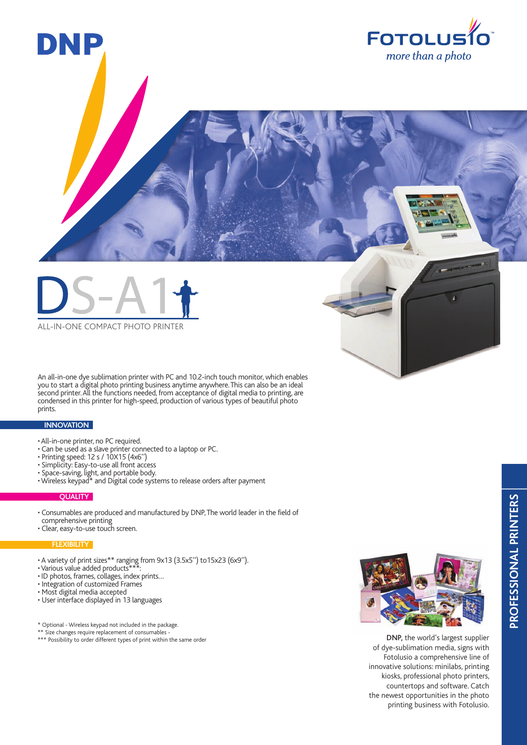



An all-in-one dye sublimation printer with PC and 10.2-inch touch monitor, which enables you to start a digital photo printing business anytime anywhere. This can also be an ideal second printer. All the functions needed, from acceptance of digital media to printing, are condensed in this printer for high-speed, production of various types of beautiful photo prints.

## **INNOVATION**

- All-in-one printer, no PC required.
- Can be used as a slave printer connected to a laptop or PC.
- Printing speed: 12 s / 10X15 (4x6'')
- Simplicity: Easy-to-use all front access
- Space-saving, light, and portable body.
- Wireless keypad\* and Digital code systems to release orders after payment

### **QUALITY**

- Consumables are produced and manufactured by DNP, The world leader in the field of comprehensive printing
- Clear, easy-to-use touch screen.

## **FLEXIBILITY**

- A variety of print sizes\*\* ranging from 9x13 (3.5x5'') to15x23 (6x9'').
- Various value added products\*\*\*:
- ID photos, frames, collages, index prints…
- Integration of customized Frames
- Most digital media accepted
- User interface displayed in 13 languages

\* Optional - Wireless keypad not included in the package.

\*\* Size changes require replacement of consumables -

\*\*\* Possibility to order different types of print within the same order



DNP, the world's largest supplier of dye-sublimation media, signs with Fotolusio a comprehensive line of innovative solutions: minilabs, printing kiosks, professional photo printers, countertops and software. Catch the newest opportunities in the photo printing business with Fotolusio.